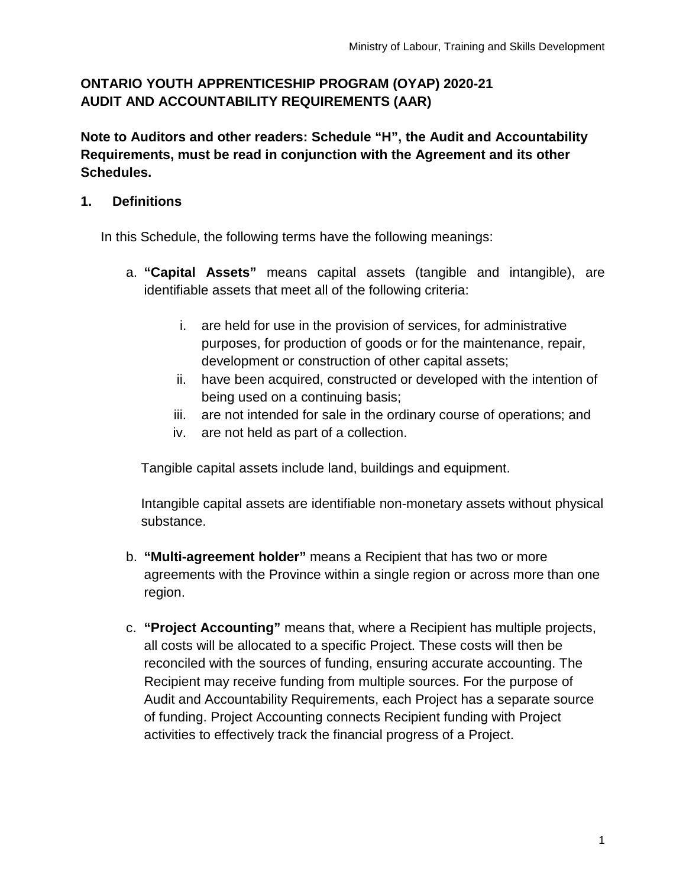# **ONTARIO YOUTH APPRENTICESHIP PROGRAM (OYAP) 2020-21 AUDIT AND ACCOUNTABILITY REQUIREMENTS (AAR)**

**Note to Auditors and other readers: Schedule "H", the Audit and Accountability Requirements, must be read in conjunction with the Agreement and its other Schedules.**

# **1. Definitions**

In this Schedule, the following terms have the following meanings:

- a. **"Capital Assets"** means capital assets (tangible and intangible), are identifiable assets that meet all of the following criteria:
	- i. are held for use in the provision of services, for administrative purposes, for production of goods or for the maintenance, repair, development or construction of other capital assets;
	- ii. have been acquired, constructed or developed with the intention of being used on a continuing basis;
	- iii. are not intended for sale in the ordinary course of operations; and
	- iv. are not held as part of a collection.

Tangible capital assets include land, buildings and equipment.

Intangible capital assets are identifiable non-monetary assets without physical substance.

- b. **"Multi-agreement holder"** means a Recipient that has two or more agreements with the Province within a single region or across more than one region.
- c. **"Project Accounting"** means that, where a Recipient has multiple projects, all costs will be allocated to a specific Project. These costs will then be reconciled with the sources of funding, ensuring accurate accounting. The Recipient may receive funding from multiple sources. For the purpose of Audit and Accountability Requirements, each Project has a separate source of funding. Project Accounting connects Recipient funding with Project activities to effectively track the financial progress of a Project.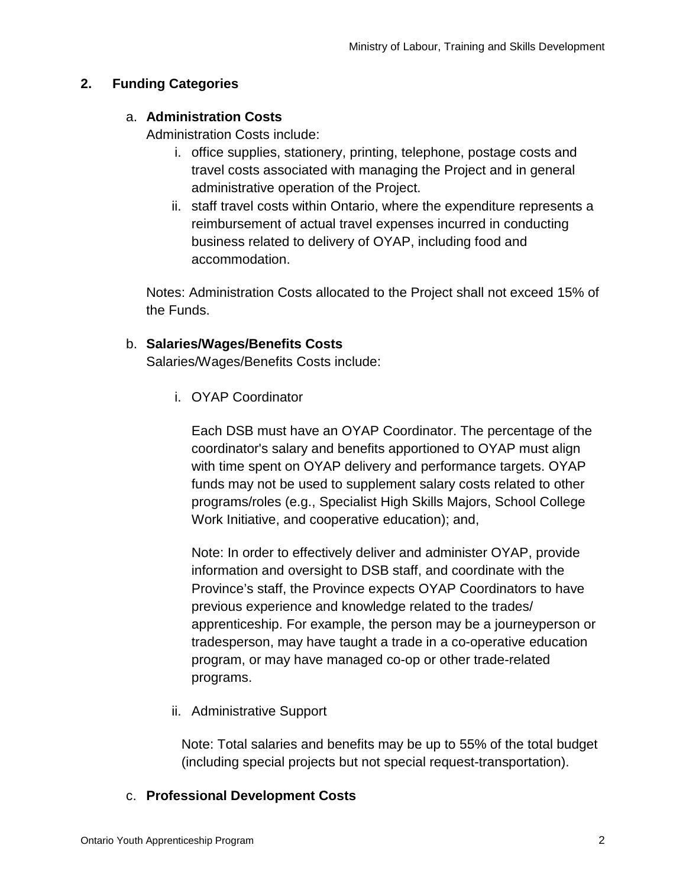# **2. Funding Categories**

### a. **Administration Costs**

Administration Costs include:

- i. office supplies, stationery, printing, telephone, postage costs and travel costs associated with managing the Project and in general administrative operation of the Project.
- ii. staff travel costs within Ontario, where the expenditure represents a reimbursement of actual travel expenses incurred in conducting business related to delivery of OYAP, including food and accommodation.

Notes: Administration Costs allocated to the Project shall not exceed 15% of the Funds.

## b. **Salaries/Wages/Benefits Costs**

Salaries/Wages/Benefits Costs include:

i. OYAP Coordinator

Each DSB must have an OYAP Coordinator. The percentage of the coordinator's salary and benefits apportioned to OYAP must align with time spent on OYAP delivery and performance targets. OYAP funds may not be used to supplement salary costs related to other programs/roles (e.g., Specialist High Skills Majors, School College Work Initiative, and cooperative education); and,

Note: In order to effectively deliver and administer OYAP, provide information and oversight to DSB staff, and coordinate with the Province's staff, the Province expects OYAP Coordinators to have previous experience and knowledge related to the trades/ apprenticeship. For example, the person may be a journeyperson or tradesperson, may have taught a trade in a co-operative education program, or may have managed co-op or other trade-related programs.

ii. Administrative Support

Note: Total salaries and benefits may be up to 55% of the total budget (including special projects but not special request-transportation).

#### c. **Professional Development Costs**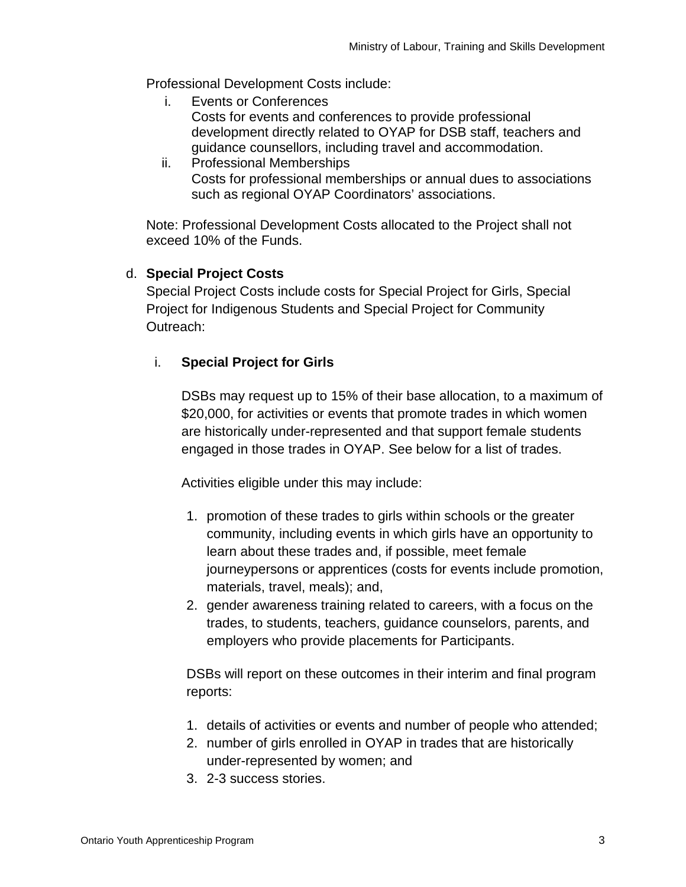Professional Development Costs include:

- i. Events or Conferences Costs for events and conferences to provide professional development directly related to OYAP for DSB staff, teachers and guidance counsellors, including travel and accommodation.
- ii. Professional Memberships Costs for professional memberships or annual dues to associations such as regional OYAP Coordinators' associations.

Note: Professional Development Costs allocated to the Project shall not exceed 10% of the Funds.

### d. **Special Project Costs**

Special Project Costs include costs for Special Project for Girls, Special Project for Indigenous Students and Special Project for Community Outreach:

## i. **Special Project for Girls**

DSBs may request up to 15% of their base allocation, to a maximum of \$20,000, for activities or events that promote trades in which women are historically under-represented and that support female students engaged in those trades in OYAP. See below for a list of trades.

Activities eligible under this may include:

- 1. promotion of these trades to girls within schools or the greater community, including events in which girls have an opportunity to learn about these trades and, if possible, meet female journeypersons or apprentices (costs for events include promotion, materials, travel, meals); and,
- 2. gender awareness training related to careers, with a focus on the trades, to students, teachers, guidance counselors, parents, and employers who provide placements for Participants.

DSBs will report on these outcomes in their interim and final program reports:

- 1. details of activities or events and number of people who attended;
- 2. number of girls enrolled in OYAP in trades that are historically under-represented by women; and
- 3. 2-3 success stories.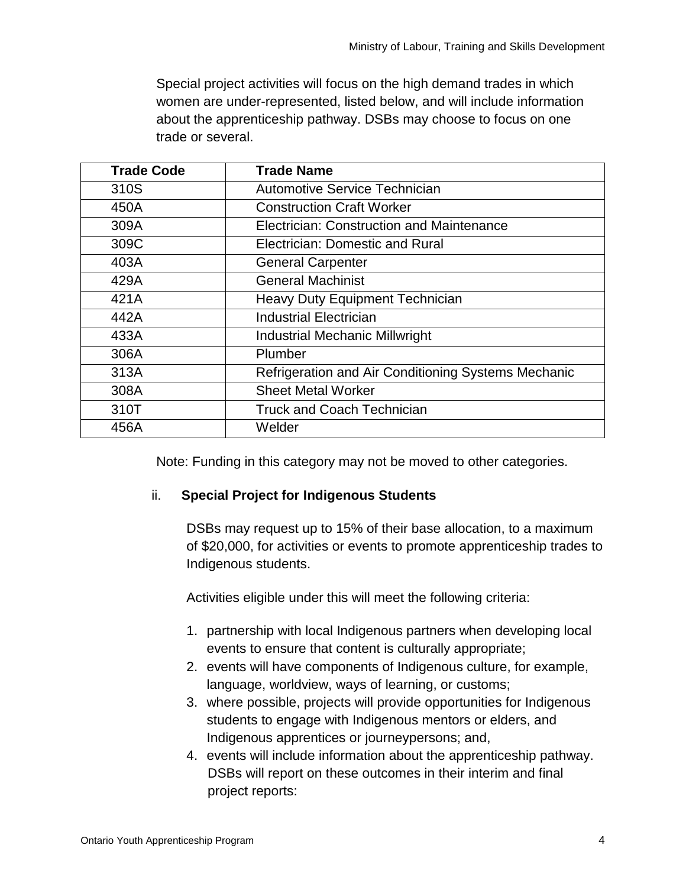Special project activities will focus on the high demand trades in which women are under-represented, listed below, and will include information about the apprenticeship pathway. DSBs may choose to focus on one trade or several.

| <b>Trade Code</b> | <b>Trade Name</b>                                   |
|-------------------|-----------------------------------------------------|
| 310S              | Automotive Service Technician                       |
| 450A              | <b>Construction Craft Worker</b>                    |
| 309A              | Electrician: Construction and Maintenance           |
| 309C              | Electrician: Domestic and Rural                     |
| 403A              | <b>General Carpenter</b>                            |
| 429A              | <b>General Machinist</b>                            |
| 421A              | <b>Heavy Duty Equipment Technician</b>              |
| 442A              | <b>Industrial Electrician</b>                       |
| 433A              | <b>Industrial Mechanic Millwright</b>               |
| 306A              | Plumber                                             |
| 313A              | Refrigeration and Air Conditioning Systems Mechanic |
| 308A              | <b>Sheet Metal Worker</b>                           |
| 310T              | <b>Truck and Coach Technician</b>                   |
| 456A              | Welder                                              |

Note: Funding in this category may not be moved to other categories.

#### ii. **Special Project for Indigenous Students**

DSBs may request up to 15% of their base allocation, to a maximum of \$20,000, for activities or events to promote apprenticeship trades to Indigenous students.

Activities eligible under this will meet the following criteria:

- 1. partnership with local Indigenous partners when developing local events to ensure that content is culturally appropriate;
- 2. events will have components of Indigenous culture, for example, language, worldview, ways of learning, or customs;
- 3. where possible, projects will provide opportunities for Indigenous students to engage with Indigenous mentors or elders, and Indigenous apprentices or journeypersons; and,
- 4. events will include information about the apprenticeship pathway. DSBs will report on these outcomes in their interim and final project reports: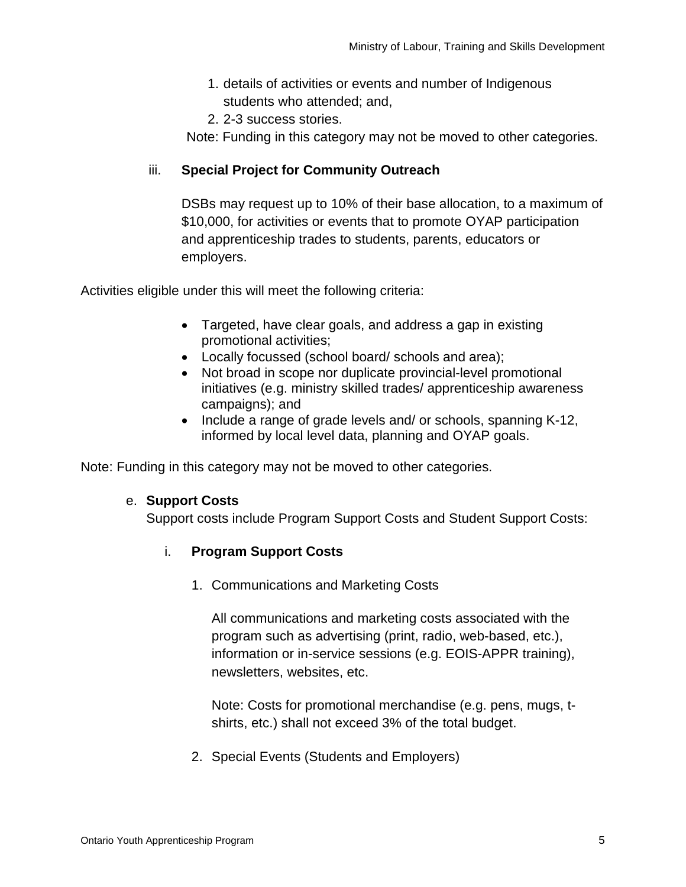- 1. details of activities or events and number of Indigenous students who attended; and,
- 2. 2-3 success stories.

Note: Funding in this category may not be moved to other categories.

### iii. **Special Project for Community Outreach**

DSBs may request up to 10% of their base allocation, to a maximum of \$10,000, for activities or events that to promote OYAP participation and apprenticeship trades to students, parents, educators or employers.

Activities eligible under this will meet the following criteria:

- Targeted, have clear goals, and address a gap in existing promotional activities;
- Locally focussed (school board/ schools and area);
- Not broad in scope nor duplicate provincial-level promotional initiatives (e.g. ministry skilled trades/ apprenticeship awareness campaigns); and
- Include a range of grade levels and/ or schools, spanning K-12, informed by local level data, planning and OYAP goals.

Note: Funding in this category may not be moved to other categories.

#### e. **Support Costs**

Support costs include Program Support Costs and Student Support Costs:

#### i. **Program Support Costs**

1. Communications and Marketing Costs

All communications and marketing costs associated with the program such as advertising (print, radio, web-based, etc.), information or in-service sessions (e.g. EOIS-APPR training), newsletters, websites, etc.

Note: Costs for promotional merchandise (e.g. pens, mugs, tshirts, etc.) shall not exceed 3% of the total budget.

2. Special Events (Students and Employers)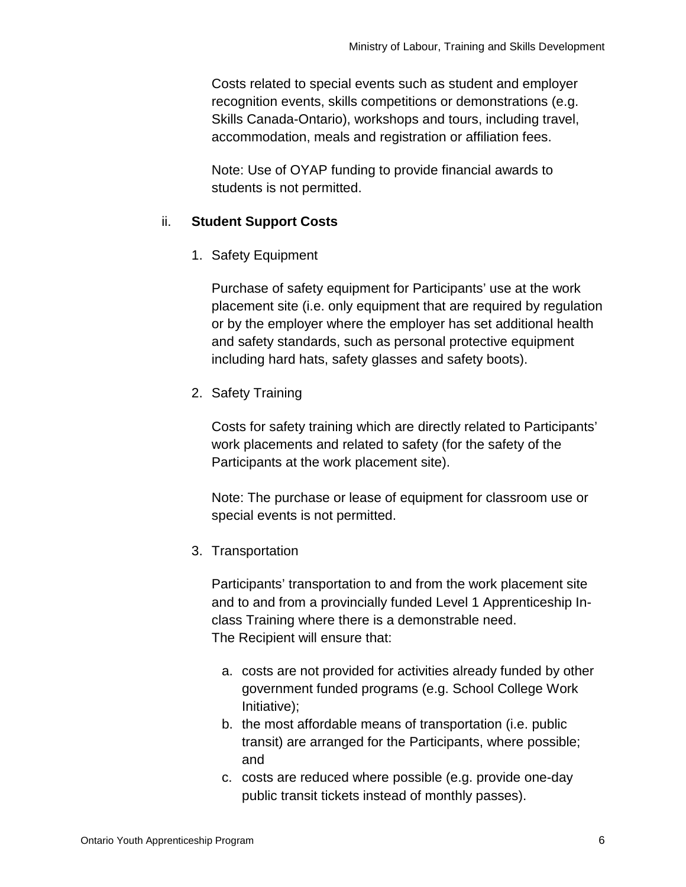Costs related to special events such as student and employer recognition events, skills competitions or demonstrations (e.g. Skills Canada-Ontario), workshops and tours, including travel, accommodation, meals and registration or affiliation fees.

Note: Use of OYAP funding to provide financial awards to students is not permitted.

#### ii. **Student Support Costs**

1. Safety Equipment

Purchase of safety equipment for Participants' use at the work placement site (i.e. only equipment that are required by regulation or by the employer where the employer has set additional health and safety standards, such as personal protective equipment including hard hats, safety glasses and safety boots).

2. Safety Training

Costs for safety training which are directly related to Participants' work placements and related to safety (for the safety of the Participants at the work placement site).

Note: The purchase or lease of equipment for classroom use or special events is not permitted.

3. Transportation

Participants' transportation to and from the work placement site and to and from a provincially funded Level 1 Apprenticeship Inclass Training where there is a demonstrable need. The Recipient will ensure that:

- a. costs are not provided for activities already funded by other government funded programs (e.g. School College Work Initiative);
- b. the most affordable means of transportation (i.e. public transit) are arranged for the Participants, where possible; and
- c. costs are reduced where possible (e.g. provide one-day public transit tickets instead of monthly passes).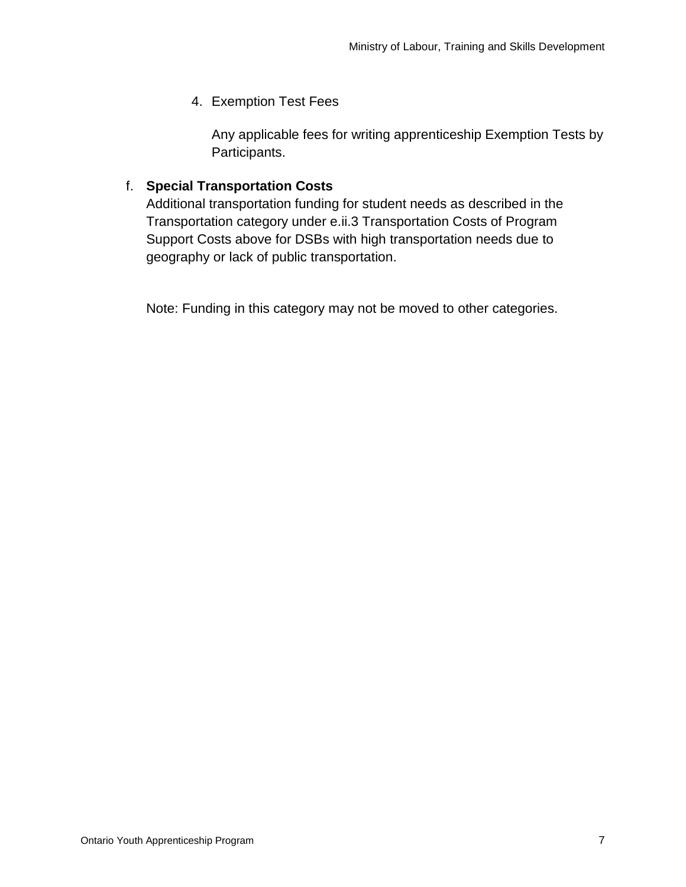4. Exemption Test Fees

Any applicable fees for writing apprenticeship Exemption Tests by Participants.

# f. **Special Transportation Costs**

Additional transportation funding for student needs as described in the Transportation category under e.ii.3 Transportation Costs of Program Support Costs above for DSBs with high transportation needs due to geography or lack of public transportation.

Note: Funding in this category may not be moved to other categories.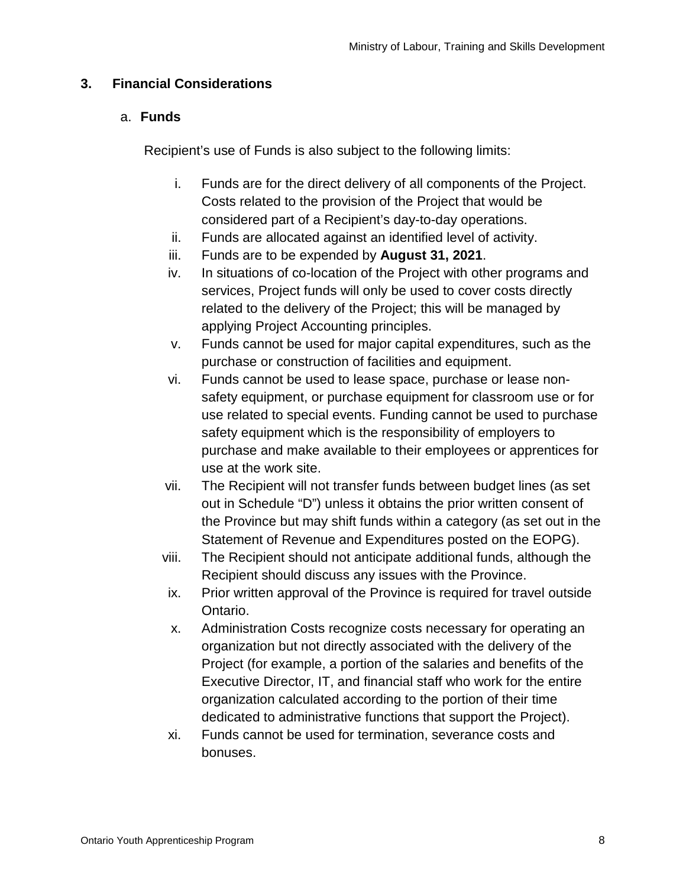# **3. Financial Considerations**

## a. **Funds**

Recipient's use of Funds is also subject to the following limits:

- i. Funds are for the direct delivery of all components of the Project. Costs related to the provision of the Project that would be considered part of a Recipient's day-to-day operations.
- ii. Funds are allocated against an identified level of activity.
- iii. Funds are to be expended by **August 31, 2021**.
- iv. In situations of co-location of the Project with other programs and services, Project funds will only be used to cover costs directly related to the delivery of the Project; this will be managed by applying Project Accounting principles.
- v. Funds cannot be used for major capital expenditures, such as the purchase or construction of facilities and equipment.
- vi. Funds cannot be used to lease space, purchase or lease nonsafety equipment, or purchase equipment for classroom use or for use related to special events. Funding cannot be used to purchase safety equipment which is the responsibility of employers to purchase and make available to their employees or apprentices for use at the work site.
- vii. The Recipient will not transfer funds between budget lines (as set out in Schedule "D") unless it obtains the prior written consent of the Province but may shift funds within a category (as set out in the Statement of Revenue and Expenditures posted on the EOPG).
- viii. The Recipient should not anticipate additional funds, although the Recipient should discuss any issues with the Province.
- ix. Prior written approval of the Province is required for travel outside Ontario.
- x. Administration Costs recognize costs necessary for operating an organization but not directly associated with the delivery of the Project (for example, a portion of the salaries and benefits of the Executive Director, IT, and financial staff who work for the entire organization calculated according to the portion of their time dedicated to administrative functions that support the Project).
- xi. Funds cannot be used for termination, severance costs and bonuses.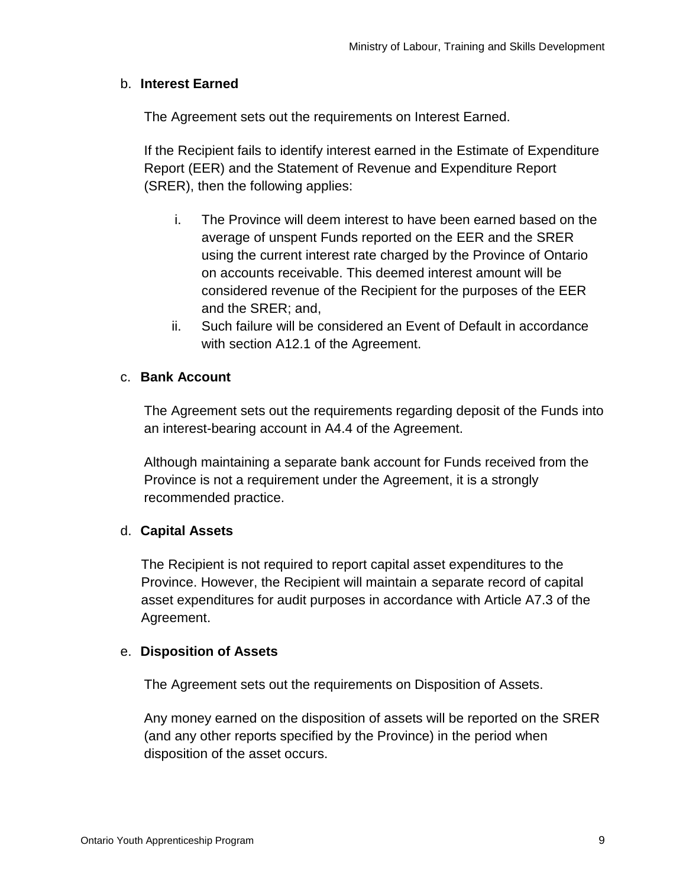### b. **Interest Earned**

The Agreement sets out the requirements on Interest Earned.

If the Recipient fails to identify interest earned in the Estimate of Expenditure Report (EER) and the Statement of Revenue and Expenditure Report (SRER), then the following applies:

- i. The Province will deem interest to have been earned based on the average of unspent Funds reported on the EER and the SRER using the current interest rate charged by the Province of Ontario on accounts receivable. This deemed interest amount will be considered revenue of the Recipient for the purposes of the EER and the SRER; and,
- ii. Such failure will be considered an Event of Default in accordance with section A12.1 of the Agreement.

### c. **Bank Account**

The Agreement sets out the requirements regarding deposit of the Funds into an interest-bearing account in A4.4 of the Agreement.

Although maintaining a separate bank account for Funds received from the Province is not a requirement under the Agreement, it is a strongly recommended practice.

#### d. **Capital Assets**

The Recipient is not required to report capital asset expenditures to the Province. However, the Recipient will maintain a separate record of capital asset expenditures for audit purposes in accordance with Article A7.3 of the Agreement.

#### e. **Disposition of Assets**

The Agreement sets out the requirements on Disposition of Assets.

Any money earned on the disposition of assets will be reported on the SRER (and any other reports specified by the Province) in the period when disposition of the asset occurs.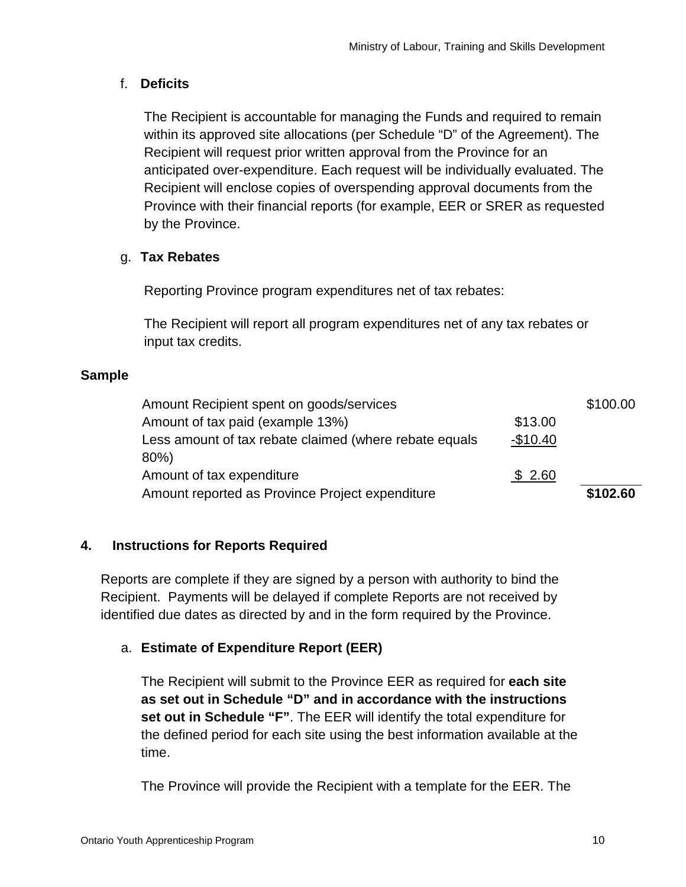# f. **Deficits**

The Recipient is accountable for managing the Funds and required to remain within its approved site allocations (per Schedule "D" of the Agreement). The Recipient will request prior written approval from the Province for an anticipated over-expenditure. Each request will be individually evaluated. The Recipient will enclose copies of overspending approval documents from the Province with their financial reports (for example, EER or SRER as requested by the Province.

# g. **Tax Rebates**

Reporting Province program expenditures net of tax rebates:

The Recipient will report all program expenditures net of any tax rebates or input tax credits.

### **Sample**

| Amount Recipient spent on goods/services               |           | \$100.00 |
|--------------------------------------------------------|-----------|----------|
| Amount of tax paid (example 13%)                       | \$13.00   |          |
| Less amount of tax rebate claimed (where rebate equals | $-$10.40$ |          |
| 80%)                                                   |           |          |
| Amount of tax expenditure                              | \$2.60    |          |
| Amount reported as Province Project expenditure        |           | \$102.60 |

## **4. Instructions for Reports Required**

Reports are complete if they are signed by a person with authority to bind the Recipient. Payments will be delayed if complete Reports are not received by identified due dates as directed by and in the form required by the Province.

## a. **Estimate of Expenditure Report (EER)**

The Recipient will submit to the Province EER as required for **each site as set out in Schedule "D" and in accordance with the instructions set out in Schedule "F"**. The EER will identify the total expenditure for the defined period for each site using the best information available at the time.

The Province will provide the Recipient with a template for the EER. The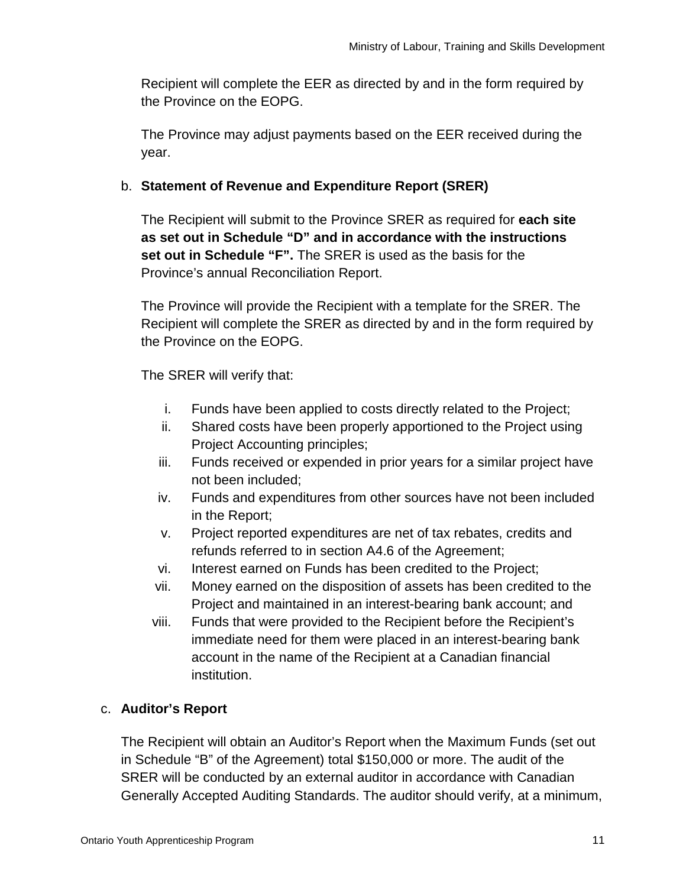Recipient will complete the EER as directed by and in the form required by the Province on the EOPG.

The Province may adjust payments based on the EER received during the year.

# b. **Statement of Revenue and Expenditure Report (SRER)**

The Recipient will submit to the Province SRER as required for **each site as set out in Schedule "D" and in accordance with the instructions set out in Schedule "F".** The SRER is used as the basis for the Province's annual Reconciliation Report.

The Province will provide the Recipient with a template for the SRER. The Recipient will complete the SRER as directed by and in the form required by the Province on the EOPG.

The SRER will verify that:

- i. Funds have been applied to costs directly related to the Project;
- ii. Shared costs have been properly apportioned to the Project using Project Accounting principles;
- iii. Funds received or expended in prior years for a similar project have not been included;
- iv. Funds and expenditures from other sources have not been included in the Report;
- v. Project reported expenditures are net of tax rebates, credits and refunds referred to in section A4.6 of the Agreement;
- vi. Interest earned on Funds has been credited to the Project;
- vii. Money earned on the disposition of assets has been credited to the Project and maintained in an interest-bearing bank account; and
- viii. Funds that were provided to the Recipient before the Recipient's immediate need for them were placed in an interest-bearing bank account in the name of the Recipient at a Canadian financial institution.

## c. **Auditor's Report**

The Recipient will obtain an Auditor's Report when the Maximum Funds (set out in Schedule "B" of the Agreement) total \$150,000 or more. The audit of the SRER will be conducted by an external auditor in accordance with Canadian Generally Accepted Auditing Standards. The auditor should verify, at a minimum,